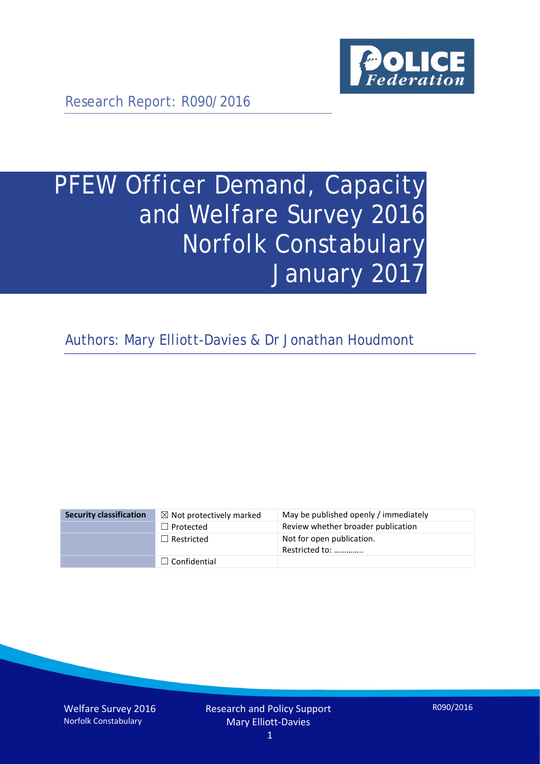

Research Report: R090/2016

# PFEW Officer Demand, Capacity and Welfare Survey 2016 Norfolk Constabulary January 2017

Authors: Mary Elliott-Davies & Dr Jonathan Houdmont

| <b>Security classification</b> | $\boxtimes$ Not protectively marked | May be published openly / immediately       |
|--------------------------------|-------------------------------------|---------------------------------------------|
|                                | $\Box$ Protected                    | Review whether broader publication          |
|                                | $\Box$ Restricted                   | Not for open publication.<br>Restricted to: |
|                                | $\Box$ Confidential                 |                                             |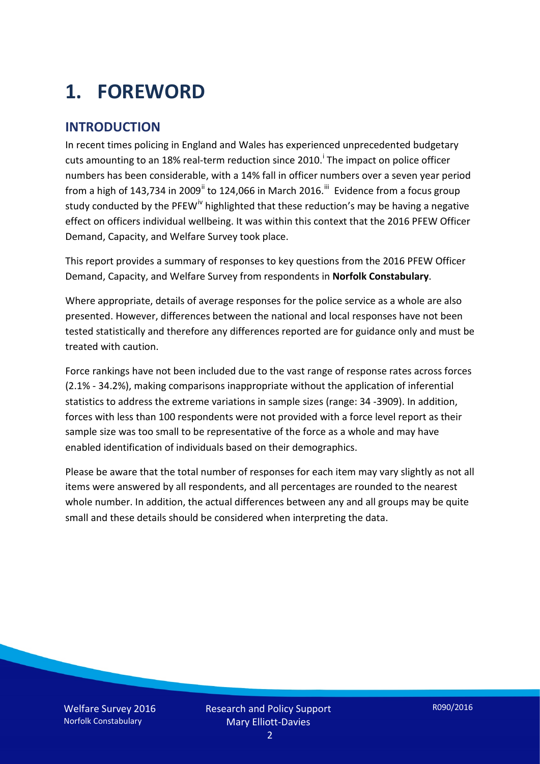# **1. FOREWORD**

#### **INTRODUCTION**

In recent times policing in England and Wales has experienced unprecedented budgetary cuts amount[i](#page-15-0)ng to an 18% real-term reduction since 2010.<sup>1</sup> The impact on police officer numbers has been considerable, with a 14% fall in officer numbers over a seven year period from a high of 143,734 in 2009<sup>[ii](#page-15-1)</sup> to 124,066 in March 2016.<sup>[iii](#page-15-2)</sup> Evidence from a focus group study conducted by the PFEW<sup>[iv](#page-15-3)</sup> highlighted that these reduction's may be having a negative effect on officers individual wellbeing. It was within this context that the 2016 PFEW Officer Demand, Capacity, and Welfare Survey took place.

This report provides a summary of responses to key questions from the 2016 PFEW Officer Demand, Capacity, and Welfare Survey from respondents in **Norfolk Constabulary**.

Where appropriate, details of average responses for the police service as a whole are also presented. However, differences between the national and local responses have not been tested statistically and therefore any differences reported are for guidance only and must be treated with caution.

Force rankings have not been included due to the vast range of response rates across forces (2.1% - 34.2%), making comparisons inappropriate without the application of inferential statistics to address the extreme variations in sample sizes (range: 34 -3909). In addition, forces with less than 100 respondents were not provided with a force level report as their sample size was too small to be representative of the force as a whole and may have enabled identification of individuals based on their demographics.

Please be aware that the total number of responses for each item may vary slightly as not all items were answered by all respondents, and all percentages are rounded to the nearest whole number. In addition, the actual differences between any and all groups may be quite small and these details should be considered when interpreting the data.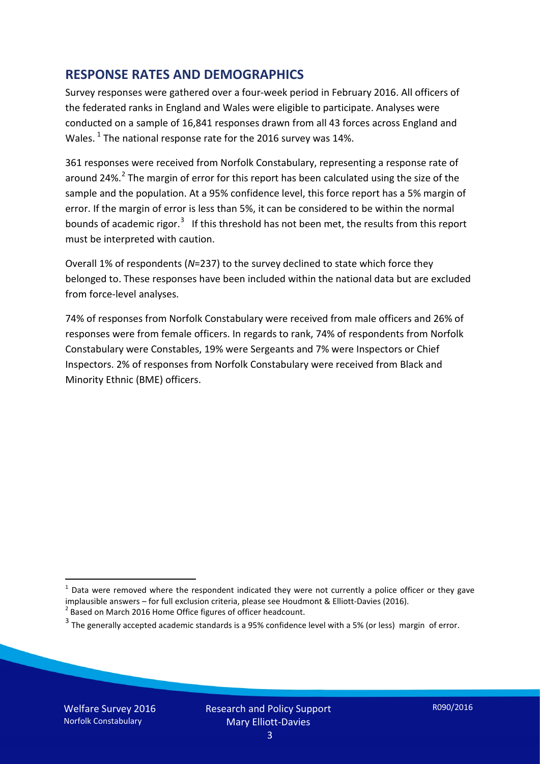#### **RESPONSE RATES AND DEMOGRAPHICS**

Survey responses were gathered over a four-week period in February 2016. All officers of the federated ranks in England and Wales were eligible to participate. Analyses were conducted on a sample of 16,841 responses drawn from all 43 forces across England and Wales.  $^1$  $^1$  The national response rate for the 2016 survey was 14%.

361 responses were received from Norfolk Constabulary, representing a response rate of around [2](#page-2-1)4%.<sup>2</sup> The margin of error for this report has been calculated using the size of the sample and the population. At a 95% confidence level, this force report has a 5% margin of error. If the margin of error is less than 5%, it can be considered to be within the normal bounds of academic rigor.<sup>[3](#page-2-2)</sup> If this threshold has not been met, the results from this report must be interpreted with caution.

Overall 1% of respondents (*N*=237) to the survey declined to state which force they belonged to. These responses have been included within the national data but are excluded from force-level analyses.

74% of responses from Norfolk Constabulary were received from male officers and 26% of responses were from female officers. In regards to rank, 74% of respondents from Norfolk Constabulary were Constables, 19% were Sergeants and 7% were Inspectors or Chief Inspectors. 2% of responses from Norfolk Constabulary were received from Black and Minority Ethnic (BME) officers.

-

<span id="page-2-0"></span> $1$  Data were removed where the respondent indicated they were not currently a police officer or they gave implausible answers – for full exclusion criteria, please see Houdmont & Elliott-Davies (2016).<br><sup>2</sup> Based on March 2016 Home Office figures of officer headcount.

<span id="page-2-1"></span>

<span id="page-2-2"></span> $3$  The generally accepted academic standards is a 95% confidence level with a 5% (or less) margin of error.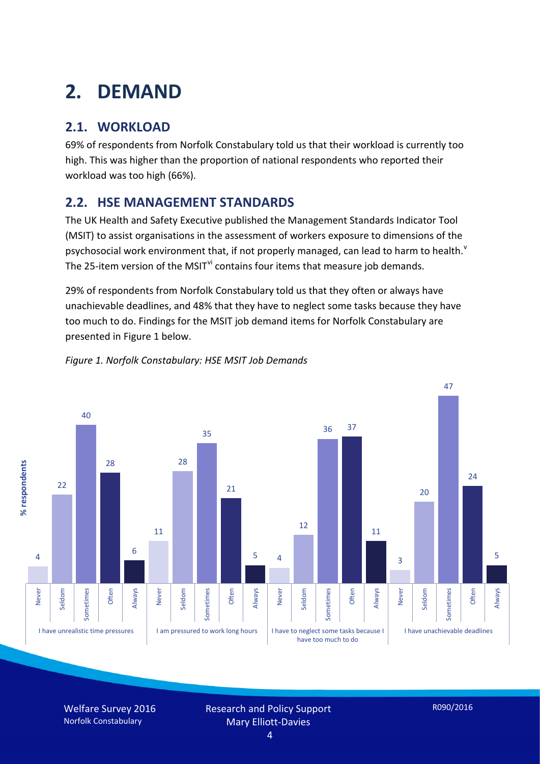# **2. DEMAND**

## **2.1. WORKLOAD**

69% of respondents from Norfolk Constabulary told us that their workload is currently too high. This was higher than the proportion of national respondents who reported their workload was too high (66%).

### **2.2. HSE MANAGEMENT STANDARDS**

The UK Health and Safety Executive published the Management Standards Indicator Tool (MSIT) to assist organisations in the assessment of workers exposure to dimensions of the psychosocial work en[v](#page-15-4)ironment that, if not properly managed, can lead to harm to health.<sup>v</sup> The 25-item version of the MSIT<sup>[vi](#page-15-5)</sup> contains four items that measure job demands.

29% of respondents from Norfolk Constabulary told us that they often or always have unachievable deadlines, and 48% that they have to neglect some tasks because they have too much to do. Findings for the MSIT job demand items for Norfolk Constabulary are presented in Figure 1 below.



#### *Figure 1. Norfolk Constabulary: HSE MSIT Job Demands*

Welfare Survey 2016 Norfolk Constabulary

Research and Policy Support Mary Elliott-Davies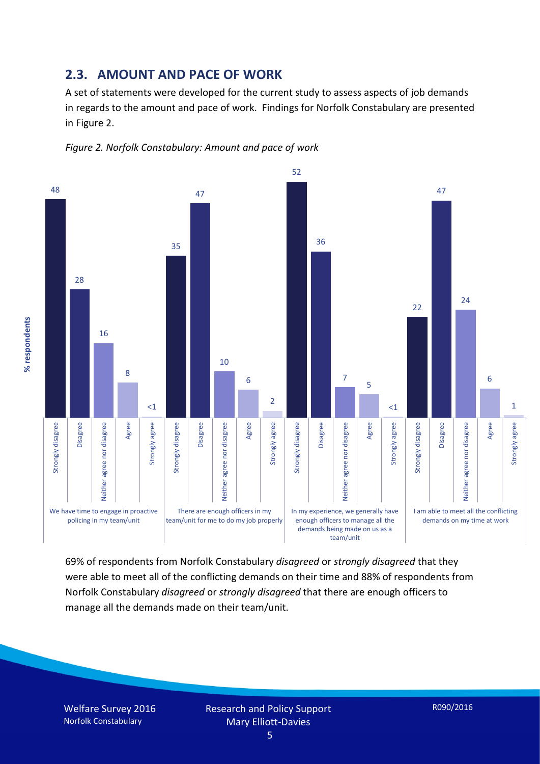#### **2.3. AMOUNT AND PACE OF WORK**

A set of statements were developed for the current study to assess aspects of job demands in regards to the amount and pace of work. Findings for Norfolk Constabulary are presented in Figure 2.





69% of respondents from Norfolk Constabulary *disagreed* or *strongly disagreed* that they were able to meet all of the conflicting demands on their time and 88% of respondents from Norfolk Constabulary *disagreed* or *strongly disagreed* that there are enough officers to manage all the demands made on their team/unit.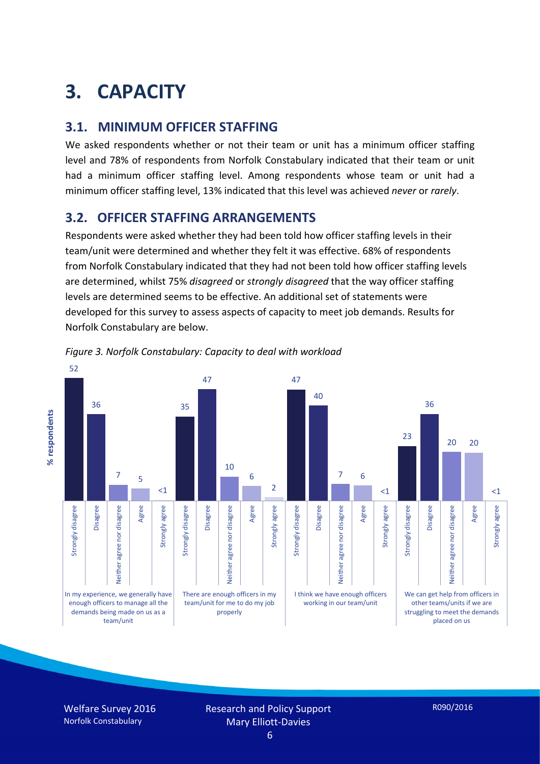# **3. CAPACITY**

#### **3.1. MINIMUM OFFICER STAFFING**

We asked respondents whether or not their team or unit has a minimum officer staffing level and 78% of respondents from Norfolk Constabulary indicated that their team or unit had a minimum officer staffing level. Among respondents whose team or unit had a minimum officer staffing level, 13% indicated that this level was achieved *never* or *rarely*.

#### **3.2. OFFICER STAFFING ARRANGEMENTS**

Respondents were asked whether they had been told how officer staffing levels in their team/unit were determined and whether they felt it was effective. 68% of respondents from Norfolk Constabulary indicated that they had not been told how officer staffing levels are determined, whilst 75% *disagreed* or *strongly disagreed* that the way officer staffing levels are determined seems to be effective. An additional set of statements were developed for this survey to assess aspects of capacity to meet job demands. Results for Norfolk Constabulary are below.





Welfare Survey 2016 Norfolk Constabulary

Research and Policy Support Mary Elliott-Davies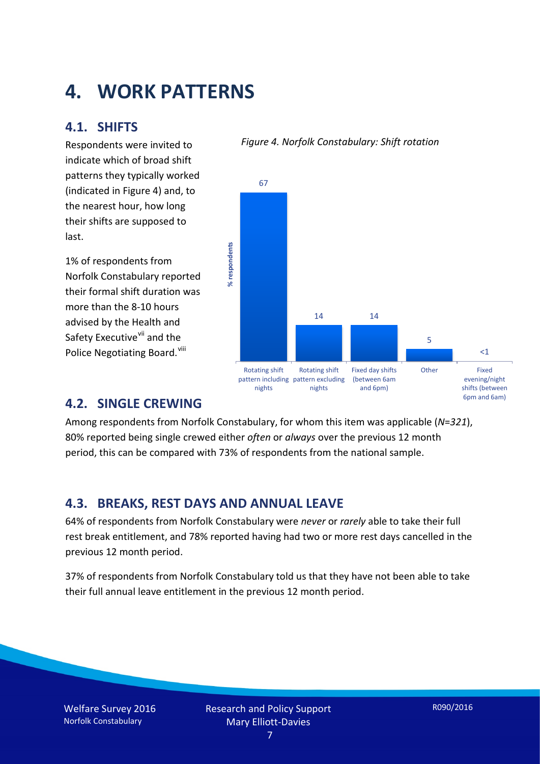## **4. WORK PATTERNS**

#### **4.1. SHIFTS**

Respondents were invited to indicate which of broad shift patterns they typically worked (indicated in Figure 4) and, to the nearest hour, how long their shifts are supposed to last.

1% of respondents from Norfolk Constabulary reported their formal shift duration was more than the 8-10 hours advised by the Health and Safety Executive<sup>[vii](#page-15-6)</sup> and the Police Negotiating Board. Vill

#### *Figure 4. Norfolk Constabulary: Shift rotation*



#### **4.2. SINGLE CREWING**

Among respondents from Norfolk Constabulary, for whom this item was applicable (*N*=*321*), 80% reported being single crewed either *often* or *always* over the previous 12 month period, this can be compared with 73% of respondents from the national sample.

#### **4.3. BREAKS, REST DAYS AND ANNUAL LEAVE**

64% of respondents from Norfolk Constabulary were *never* or *rarely* able to take their full rest break entitlement, and 78% reported having had two or more rest days cancelled in the previous 12 month period.

37% of respondents from Norfolk Constabulary told us that they have not been able to take their full annual leave entitlement in the previous 12 month period.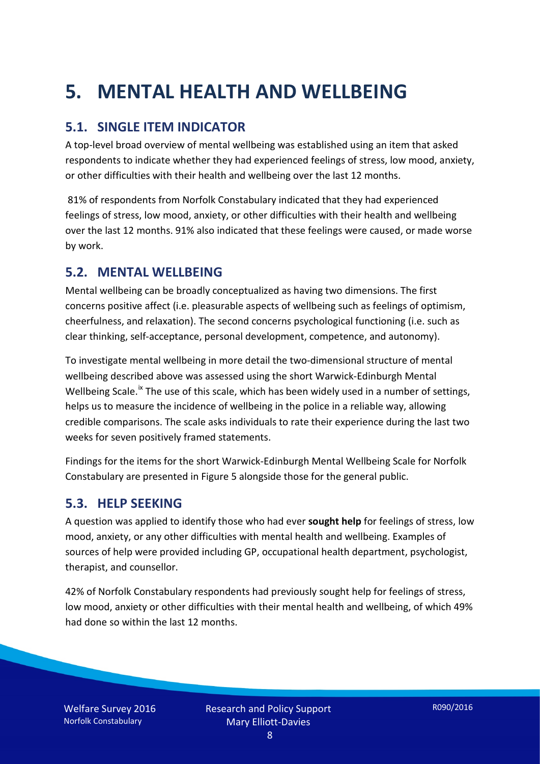# **5. MENTAL HEALTH AND WELLBEING**

### **5.1. SINGLE ITEM INDICATOR**

A top-level broad overview of mental wellbeing was established using an item that asked respondents to indicate whether they had experienced feelings of stress, low mood, anxiety, or other difficulties with their health and wellbeing over the last 12 months.

81% of respondents from Norfolk Constabulary indicated that they had experienced feelings of stress, low mood, anxiety, or other difficulties with their health and wellbeing over the last 12 months. 91% also indicated that these feelings were caused, or made worse by work.

#### **5.2. MENTAL WELLBEING**

Mental wellbeing can be broadly conceptualized as having two dimensions. The first concerns positive affect (i.e. pleasurable aspects of wellbeing such as feelings of optimism, cheerfulness, and relaxation). The second concerns psychological functioning (i.e. such as clear thinking, self-acceptance, personal development, competence, and autonomy).

To investigate mental wellbeing in more detail the two-dimensional structure of mental wellbeing described above was assessed using the short Warwick-Edinburgh Mental Wellbeing Scale.<sup>[ix](#page-15-8)</sup> The use of this scale, which has been widely used in a number of settings, helps us to measure the incidence of wellbeing in the police in a reliable way, allowing credible comparisons. The scale asks individuals to rate their experience during the last two weeks for seven positively framed statements.

Findings for the items for the short Warwick-Edinburgh Mental Wellbeing Scale for Norfolk Constabulary are presented in Figure 5 alongside those for the general public.

#### **5.3. HELP SEEKING**

A question was applied to identify those who had ever **sought help** for feelings of stress, low mood, anxiety, or any other difficulties with mental health and wellbeing. Examples of sources of help were provided including GP, occupational health department, psychologist, therapist, and counsellor.

42% of Norfolk Constabulary respondents had previously sought help for feelings of stress, low mood, anxiety or other difficulties with their mental health and wellbeing, of which 49% had done so within the last 12 months.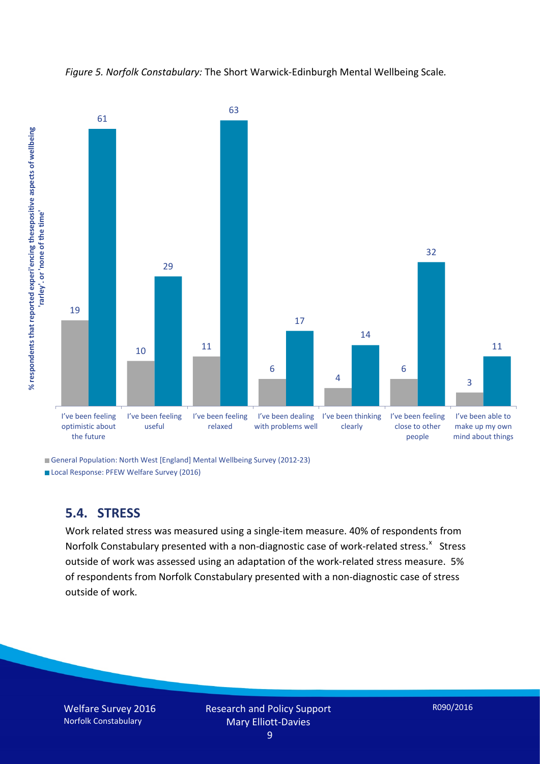



General Population: North West [England] Mental Wellbeing Survey (2012-23)

Local Response: PFEW Welfare Survey (2016)

#### **5.4. STRESS**

Work related stress was measured using a single-item measure. 40% of respondents from Norfolk Constabulary presented with a non-diagnostic case of work-related stress.<sup>[x](#page-15-9)</sup> Stress outside of work was assessed using an adaptation of the work-related stress measure. 5% of respondents from Norfolk Constabulary presented with a non-diagnostic case of stress outside of work.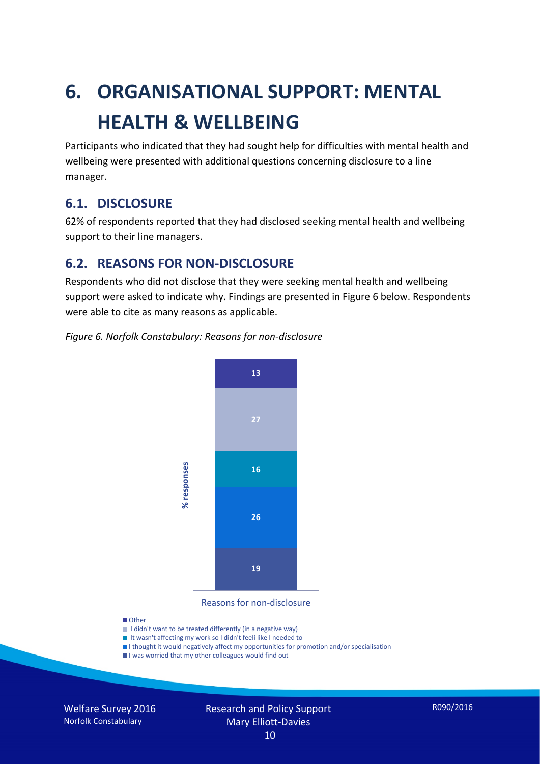# **6. ORGANISATIONAL SUPPORT: MENTAL HEALTH & WELLBEING**

Participants who indicated that they had sought help for difficulties with mental health and wellbeing were presented with additional questions concerning disclosure to a line manager.

#### **6.1. DISCLOSURE**

62% of respondents reported that they had disclosed seeking mental health and wellbeing support to their line managers.

#### **6.2. REASONS FOR NON-DISCLOSURE**

Respondents who did not disclose that they were seeking mental health and wellbeing support were asked to indicate why. Findings are presented in Figure 6 below. Respondents were able to cite as many reasons as applicable.

#### *Figure 6. Norfolk Constabulary: Reasons for non-disclosure*



Reasons for non-disclosure

#### **D**Other

- I didn't want to be treated differently (in a negative way)
- I It wasn't affecting my work so I didn't feeli like I needed to
- I thought it would negatively affect my opportunities for promotion and/or specialisation
- I was worried that my other colleagues would find out

Welfare Survey 2016 Norfolk Constabulary

#### Research and Policy Support Mary Elliott-Davies 10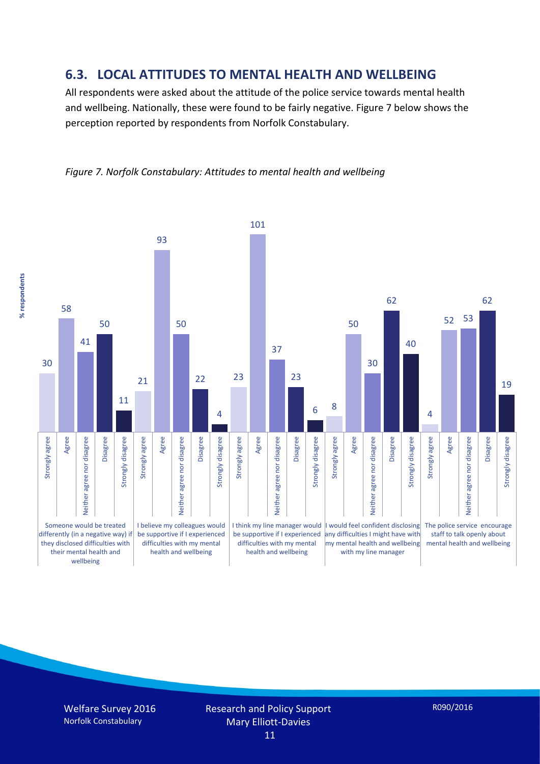#### **6.3. LOCAL ATTITUDES TO MENTAL HEALTH AND WELLBEING**

All respondents were asked about the attitude of the police service towards mental health and wellbeing. Nationally, these were found to be fairly negative. Figure 7 below shows the perception reported by respondents from Norfolk Constabulary.



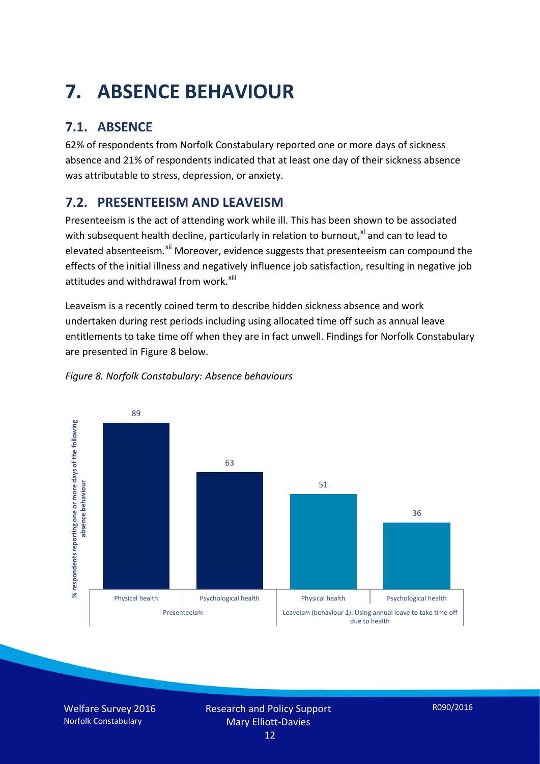# **7. ABSENCE BEHAVIOUR**

## **7.1. ABSENCE**

62% of respondents from Norfolk Constabulary reported one or more days of sickness absence and 21% of respondents indicated that at least one day of their sickness absence was attributable to stress, depression, or anxiety.

## **7.2. PRESENTEEISM AND LEAVEISM**

Presenteeism is the act of attending work while ill. This has been shown to be associated with subsequent health decline, particularly in relation to burnout, $x_i$  and can to lead to elevated absenteeism.<sup>[xii](#page-16-1)</sup> Moreover, evidence suggests that presenteeism can compound the effects of the initial illness and negatively influence job satisfaction, resulting in negative job attitudes and withdrawal from work.<sup>[xiii](#page-16-2)</sup>

Leaveism is a recently coined term to describe hidden sickness absence and work undertaken during rest periods including using allocated time off such as annual leave entitlements to take time off when they are in fact unwell. Findings for Norfolk Constabulary are presented in Figure 8 below.



#### *Figure 8. Norfolk Constabulary: Absence behaviours*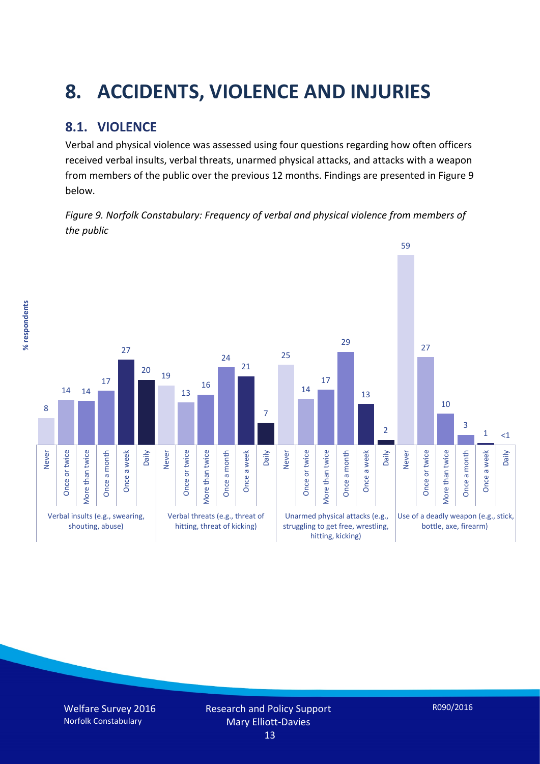# **8. ACCIDENTS, VIOLENCE AND INJURIES**

## **8.1. VIOLENCE**

Verbal and physical violence was assessed using four questions regarding how often officers received verbal insults, verbal threats, unarmed physical attacks, and attacks with a weapon from members of the public over the previous 12 months. Findings are presented in Figure 9 below.

*Figure 9. Norfolk Constabulary: Frequency of verbal and physical violence from members of the public*

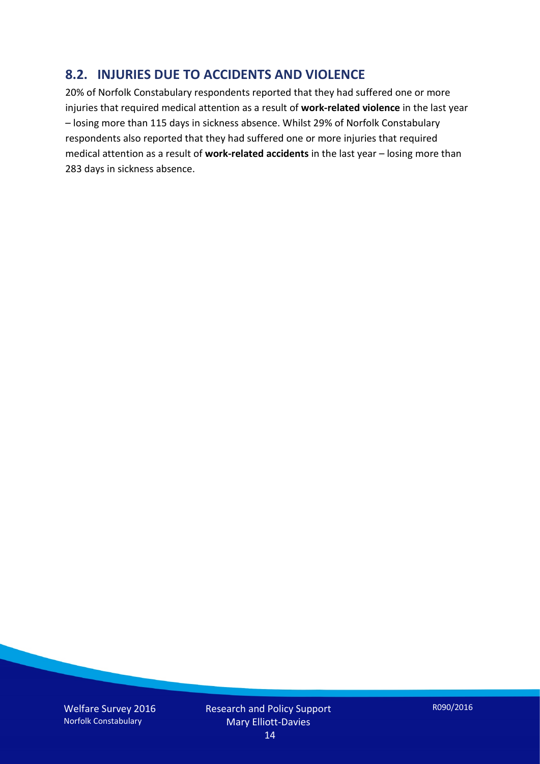#### **8.2. INJURIES DUE TO ACCIDENTS AND VIOLENCE**

20% of Norfolk Constabulary respondents reported that they had suffered one or more injuries that required medical attention as a result of **work-related violence** in the last year – losing more than 115 days in sickness absence. Whilst 29% of Norfolk Constabulary respondents also reported that they had suffered one or more injuries that required medical attention as a result of **work-related accidents** in the last year – losing more than 283 days in sickness absence.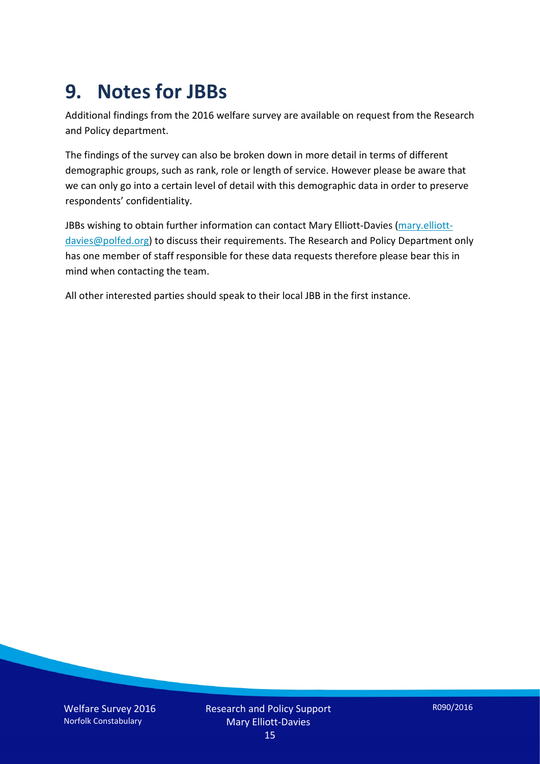## **9. Notes for JBBs**

Additional findings from the 2016 welfare survey are available on request from the Research and Policy department.

The findings of the survey can also be broken down in more detail in terms of different demographic groups, such as rank, role or length of service. However please be aware that we can only go into a certain level of detail with this demographic data in order to preserve respondents' confidentiality.

JBBs wishing to obtain further information can contact Mary Elliott-Davies [\(mary.elliott](mailto:mary.elliott-davies@polfed.org)[davies@polfed.org\)](mailto:mary.elliott-davies@polfed.org) to discuss their requirements. The Research and Policy Department only has one member of staff responsible for these data requests therefore please bear this in mind when contacting the team.

All other interested parties should speak to their local JBB in the first instance.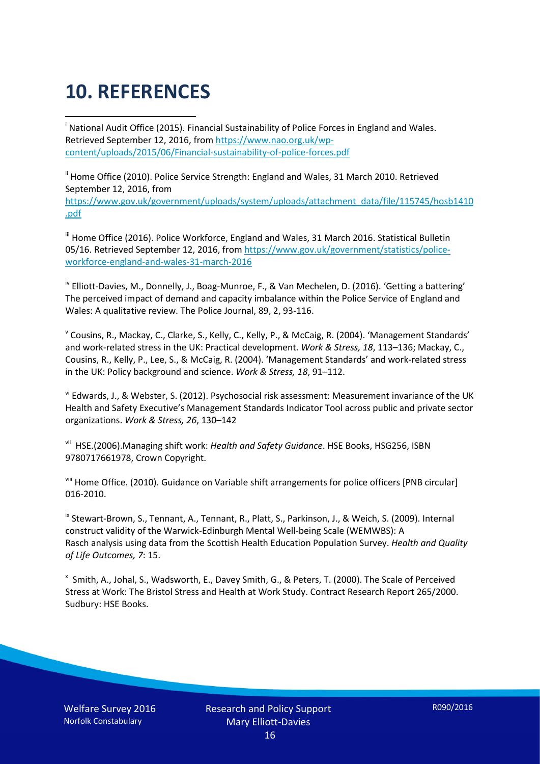# **10. REFERENCES**

<span id="page-15-0"></span>i National Audit Office (2015). Financial Sustainability of Police Forces in England and Wales. Retrieved September 12, 2016, fro[m https://www.nao.org.uk/wp](https://www.nao.org.uk/wp-content/uploads/2015/06/Financial-sustainability-of-police-forces.pdf)[content/uploads/2015/06/Financial-sustainability-of-police-forces.pdf](https://www.nao.org.uk/wp-content/uploads/2015/06/Financial-sustainability-of-police-forces.pdf)

<span id="page-15-1"></span><sup>ii</sup> Home Office (2010). Police Service Strength: England and Wales, 31 March 2010. Retrieved September 12, 2016, from [https://www.gov.uk/government/uploads/system/uploads/attachment\\_data/file/115745/hosb1410](https://www.gov.uk/government/uploads/system/uploads/attachment_data/file/115745/hosb1410.pdf) [.pdf](https://www.gov.uk/government/uploads/system/uploads/attachment_data/file/115745/hosb1410.pdf)

<span id="page-15-2"></span><sup>iii</sup> Home Office (2016). Police Workforce, England and Wales, 31 March 2016. Statistical Bulletin 05/16. Retrieved September 12, 2016, fro[m https://www.gov.uk/government/statistics/police](https://www.gov.uk/government/statistics/police-workforce-england-and-wales-31-march-2016)[workforce-england-and-wales-31-march-2016](https://www.gov.uk/government/statistics/police-workforce-england-and-wales-31-march-2016)

<span id="page-15-3"></span><sup>iv</sup> Elliott-Davies, M., Donnelly, J., Boag-Munroe, F., & Van Mechelen, D. (2016). 'Getting a battering' The perceived impact of demand and capacity imbalance within the Police Service of England and Wales: A qualitative review. The Police Journal, 89, 2, 93-116.

<span id="page-15-4"></span><sup>v</sup> Cousins, R., Mackay, C., Clarke, S., Kelly, C., Kelly, P., & McCaig, R. (2004). 'Management Standards' and work-related stress in the UK: Practical development. *Work & Stress, 18*, 113–136; Mackay, C., Cousins, R., Kelly, P., Lee, S., & McCaig, R. (2004). 'Management Standards' and work-related stress in the UK: Policy background and science. *Work & Stress, 18*, 91–112.

<span id="page-15-5"></span>vi Edwards, J., & Webster, S. (2012). Psychosocial risk assessment: Measurement invariance of the UK Health and Safety Executive's Management Standards Indicator Tool across public and private sector organizations. *Work & Stress, 26*, 130–142

<span id="page-15-6"></span>vii HSE.(2006).Managing shift work: *Health and Safety Guidance*. HSE Books, HSG256, ISBN 9780717661978, Crown Copyright.

<span id="page-15-7"></span>viii Home Office. (2010). Guidance on Variable shift arrangements for police officers [PNB circular] 016-2010.

<span id="page-15-8"></span><sup>ix</sup> Stewart-Brown, S., Tennant, A., Tennant, R., Platt, S., Parkinson, J., & Weich, S. (2009). Internal construct validity of the Warwick-Edinburgh Mental Well-being Scale (WEMWBS): A Rasch analysis using data from the Scottish Health Education Population Survey. *Health and Quality of Life Outcomes, 7*: 15.

<span id="page-15-9"></span>x Smith, A., Johal, S., Wadsworth, E., Davey Smith, G., & Peters, T. (2000). The Scale of Perceived Stress at Work: The Bristol Stress and Health at Work Study. Contract Research Report 265/2000. Sudbury: HSE Books.